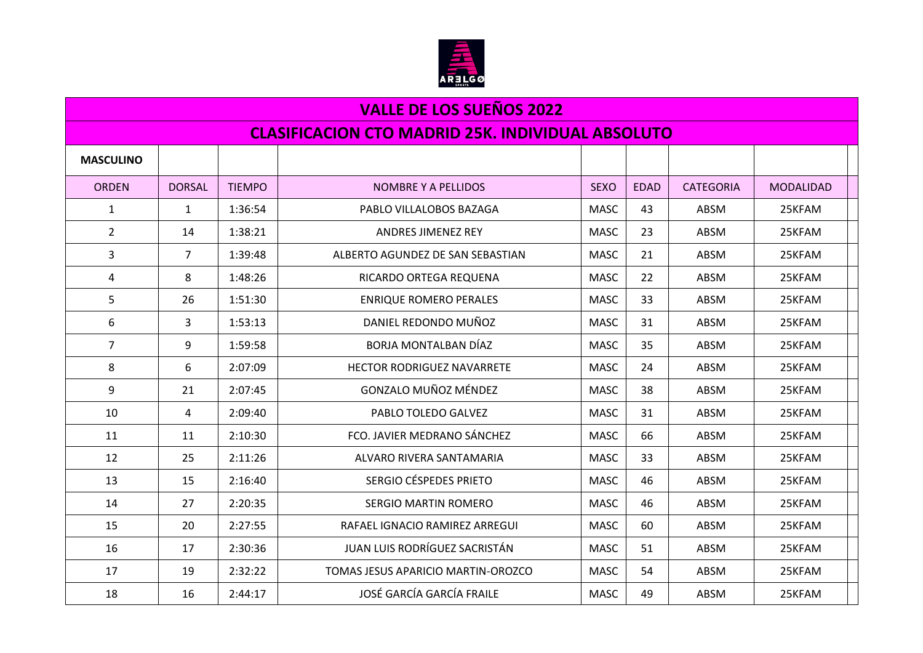

## **VALLE DE LOS SUEÑOS 2022 CLASIFICACION CTO MADRID 25K. INDIVIDUAL ABSOLUTO MASCULINO** ORDEN | DORSAL | TIEMPO | NOMBRE Y A PELLIDOS | NORDEN | SEXO | EDAD | CATEGORIA | MODALIDAD 1 1 1:36:54 PABLO VILLALOBOS BAZAGA MASC 43 ABSM 25KFAM 2 14 1:38:21 ANDRES JIMENEZ REY NASC 23 ABSM 25KFAM 3 | 7 | 1:39:48 | ALBERTO AGUNDEZ DE SAN SEBASTIAN | MASC | 21 | ABSM | 25KFAM 4 8 1:48:26 RICARDO ORTEGA REQUENA MASC 22 ABSM 25KFAM 5 26 1:51:30 ENRIQUE ROMERO PERALES NASC 33 ABSM 25KFAM 6 3 1:53:13 DANIEL REDONDO MUÑOZ MASC 31 ABSM 25KFAM 7 9 1:59:58 BORJA MONTALBAN DÍAZ MASC 35 ABSM 25KFAM 8 6 2:07:09 HECTOR RODRIGUEZ NAVARRETE 25KFAM 9 21 2:07:45 GONZALO MUÑOZ MÉNDEZ MASC 38 ABSM 25KFAM 10 PABLO TOLEDO GALVEZ 25KFAM 11 11 2:10:30 FCO. JAVIER MEDRANO SÁNCHEZ NASC 66 ABSM 25KFAM 12 12 25 2:11:26 ALVARO RIVERA SANTAMARIA NASC 33 ABSM 25KFAM 13 15 2:16:40 SERGIO CÉSPEDES PRIETO NASC | 46 | ABSM | 25KFAM 14 27 2:20:35 SERGIO MARTIN ROMERO MASC 46 ABSM 25KFAM 15 20 2:27:55 RAFAEL IGNACIO RAMIREZ ARREGUI MASC 60 ABSM 25KFAM 16 17 2:30:36 JUAN LUIS RODRÍGUEZ SACRISTÁN MASC 51 ABSM 25KFAM 17 19 2:32:22 TOMAS JESUS APARICIO MARTIN-OROZCO HMASC 1 54 ABSM 25KFAM 18 16 2:44:17 JOSÉ GARCÍA GARCÍA FRAILE NASC 29 ABSM 25KFAM